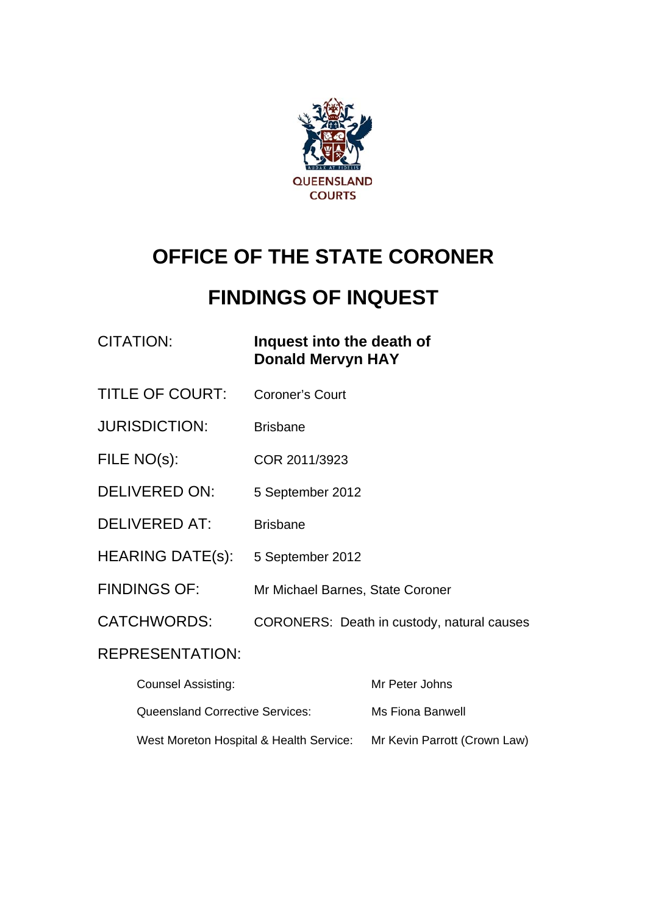

# **OFFICE OF THE STATE CORONER**

# **FINDINGS OF INQUEST**

# CITATION: **Inquest into the death of Donald Mervyn HAY**

- TITLE OF COURT: Coroner's Court
- JURISDICTION: Brisbane
- FILE NO(s): COR 2011/3923
- DELIVERED ON: 5 September 2012
- DELIVERED AT: Brisbane
- HEARING DATE(s): 5 September 2012
- FINDINGS OF: Mr Michael Barnes, State Coroner
- CATCHWORDS: CORONERS: Death in custody, natural causes

# REPRESENTATION:

| <b>Counsel Assisting:</b>               | Mr Peter Johns               |
|-----------------------------------------|------------------------------|
| Queensland Corrective Services:         | Ms Fiona Banwell             |
| West Moreton Hospital & Health Service: | Mr Kevin Parrott (Crown Law) |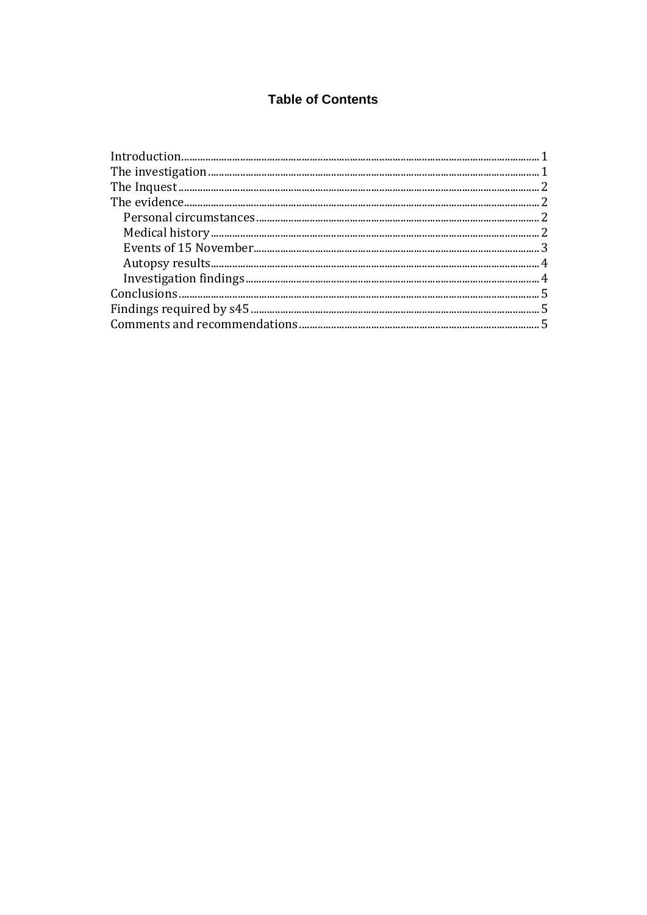# **Table of Contents**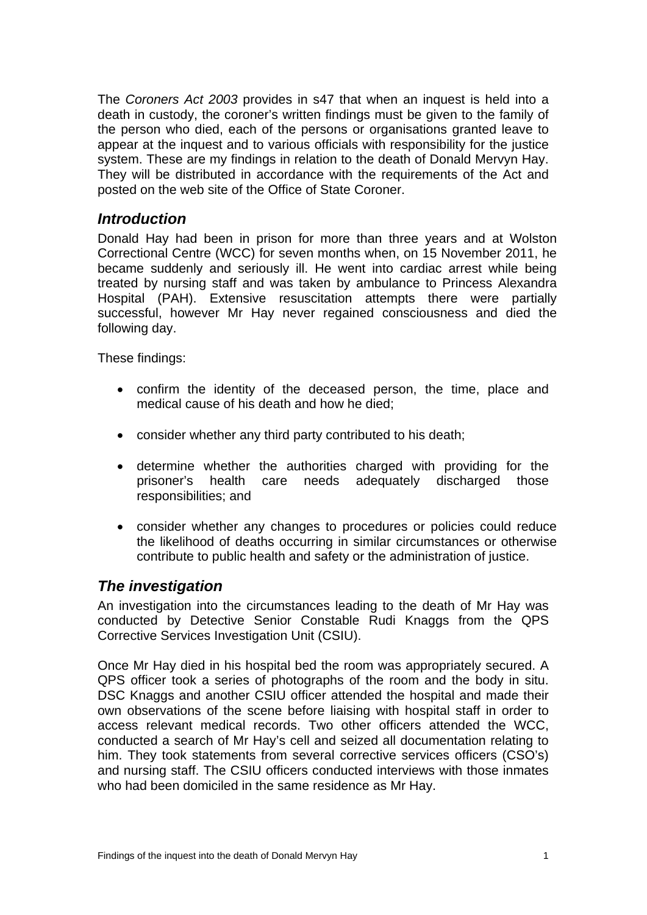The *Coroners Act 2003* provides in s47 that when an inquest is held into a death in custody, the coroner's written findings must be given to the family of the person who died, each of the persons or organisations granted leave to appear at the inquest and to various officials with responsibility for the justice system. These are my findings in relation to the death of Donald Mervyn Hay. They will be distributed in accordance with the requirements of the Act and posted on the web site of the Office of State Coroner.

# *Introduction*

Donald Hay had been in prison for more than three years and at Wolston Correctional Centre (WCC) for seven months when, on 15 November 2011, he became suddenly and seriously ill. He went into cardiac arrest while being treated by nursing staff and was taken by ambulance to Princess Alexandra Hospital (PAH). Extensive resuscitation attempts there were partially successful, however Mr Hay never regained consciousness and died the following day.

These findings:

- confirm the identity of the deceased person, the time, place and medical cause of his death and how he died;
- consider whether any third party contributed to his death;
- determine whether the authorities charged with providing for the prisoner's health care needs adequately discharged those responsibilities; and
- consider whether any changes to procedures or policies could reduce the likelihood of deaths occurring in similar circumstances or otherwise contribute to public health and safety or the administration of justice.

# *The investigation*

An investigation into the circumstances leading to the death of Mr Hay was conducted by Detective Senior Constable Rudi Knaggs from the QPS Corrective Services Investigation Unit (CSIU).

Once Mr Hay died in his hospital bed the room was appropriately secured. A QPS officer took a series of photographs of the room and the body in situ. DSC Knaggs and another CSIU officer attended the hospital and made their own observations of the scene before liaising with hospital staff in order to access relevant medical records. Two other officers attended the WCC, conducted a search of Mr Hay's cell and seized all documentation relating to him. They took statements from several corrective services officers (CSO's) and nursing staff. The CSIU officers conducted interviews with those inmates who had been domiciled in the same residence as Mr Hay.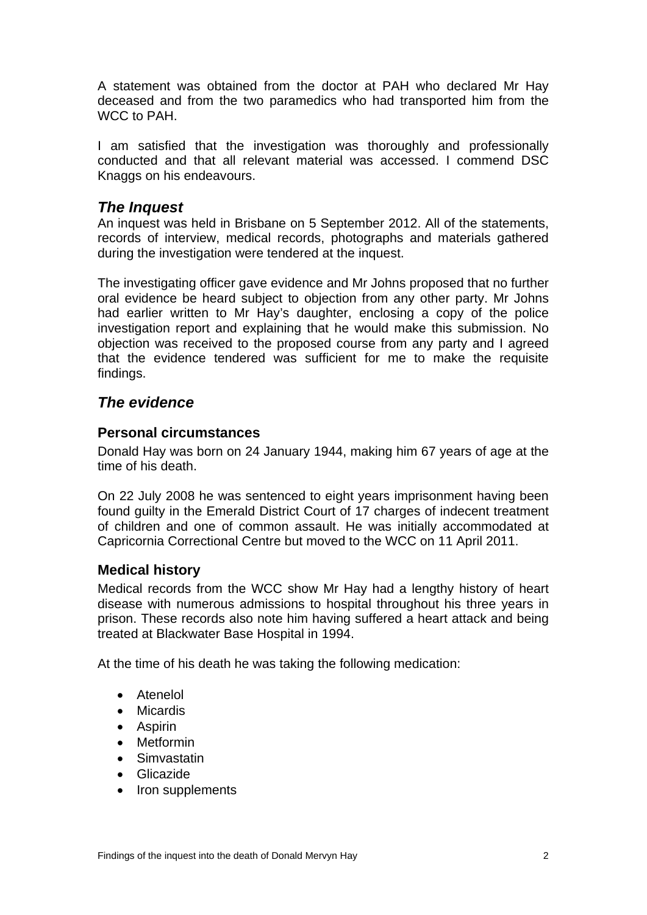A statement was obtained from the doctor at PAH who declared Mr Hay deceased and from the two paramedics who had transported him from the WCC to PAH.

I am satisfied that the investigation was thoroughly and professionally conducted and that all relevant material was accessed. I commend DSC Knaggs on his endeavours.

### <span id="page-3-0"></span>*The Inquest*

An inquest was held in Brisbane on 5 September 2012. All of the statements, records of interview, medical records, photographs and materials gathered during the investigation were tendered at the inquest.

The investigating officer gave evidence and Mr Johns proposed that no further oral evidence be heard subject to objection from any other party. Mr Johns had earlier written to Mr Hay's daughter, enclosing a copy of the police investigation report and explaining that he would make this submission. No objection was received to the proposed course from any party and I agreed that the evidence tendered was sufficient for me to make the requisite findings.

# <span id="page-3-1"></span>*The evidence*

#### <span id="page-3-2"></span>**Personal circumstances**

Donald Hay was born on 24 January 1944, making him 67 years of age at the time of his death.

On 22 July 2008 he was sentenced to eight years imprisonment having been found guilty in the Emerald District Court of 17 charges of indecent treatment of children and one of common assault. He was initially accommodated at Capricornia Correctional Centre but moved to the WCC on 11 April 2011.

#### <span id="page-3-3"></span>**Medical history**

Medical records from the WCC show Mr Hay had a lengthy history of heart disease with numerous admissions to hospital throughout his three years in prison. These records also note him having suffered a heart attack and being treated at Blackwater Base Hospital in 1994.

At the time of his death he was taking the following medication:

- Atenelol
- Micardis
- Aspirin
- Metformin
- **•** Simvastatin
- Glicazide
- Iron supplements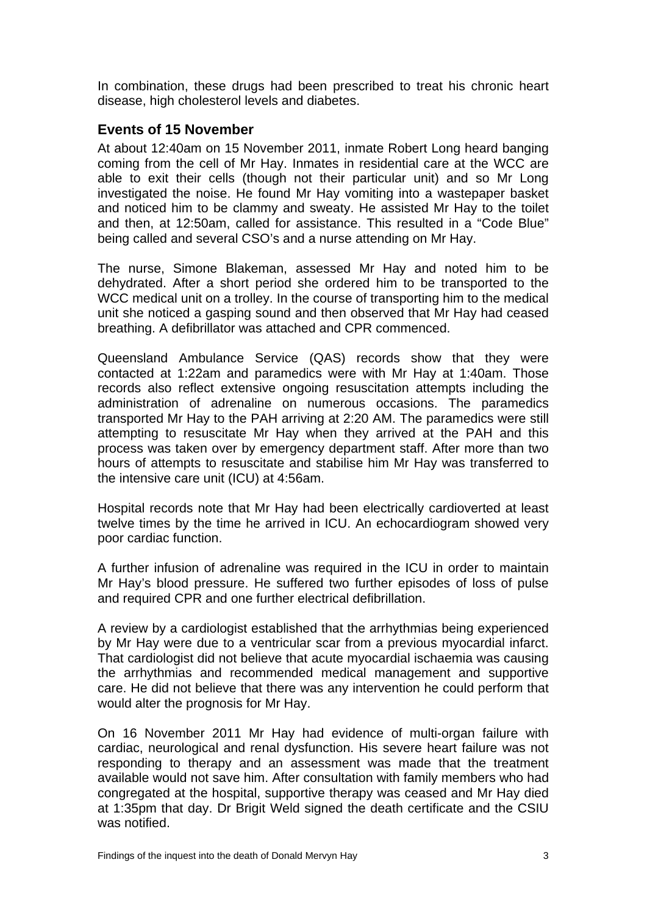In combination, these drugs had been prescribed to treat his chronic heart disease, high cholesterol levels and diabetes.

### <span id="page-4-0"></span>**Events of 15 November**

At about 12:40am on 15 November 2011, inmate Robert Long heard banging coming from the cell of Mr Hay. Inmates in residential care at the WCC are able to exit their cells (though not their particular unit) and so Mr Long investigated the noise. He found Mr Hay vomiting into a wastepaper basket and noticed him to be clammy and sweaty. He assisted Mr Hay to the toilet and then, at 12:50am, called for assistance. This resulted in a "Code Blue" being called and several CSO's and a nurse attending on Mr Hay.

The nurse, Simone Blakeman, assessed Mr Hay and noted him to be dehydrated. After a short period she ordered him to be transported to the WCC medical unit on a trolley. In the course of transporting him to the medical unit she noticed a gasping sound and then observed that Mr Hay had ceased breathing. A defibrillator was attached and CPR commenced.

Queensland Ambulance Service (QAS) records show that they were contacted at 1:22am and paramedics were with Mr Hay at 1:40am. Those records also reflect extensive ongoing resuscitation attempts including the administration of adrenaline on numerous occasions. The paramedics transported Mr Hay to the PAH arriving at 2:20 AM. The paramedics were still attempting to resuscitate Mr Hay when they arrived at the PAH and this process was taken over by emergency department staff. After more than two hours of attempts to resuscitate and stabilise him Mr Hay was transferred to the intensive care unit (ICU) at 4:56am.

Hospital records note that Mr Hay had been electrically cardioverted at least twelve times by the time he arrived in ICU. An echocardiogram showed very poor cardiac function.

A further infusion of adrenaline was required in the ICU in order to maintain Mr Hay's blood pressure. He suffered two further episodes of loss of pulse and required CPR and one further electrical defibrillation.

A review by a cardiologist established that the arrhythmias being experienced by Mr Hay were due to a ventricular scar from a previous myocardial infarct. That cardiologist did not believe that acute myocardial ischaemia was causing the arrhythmias and recommended medical management and supportive care. He did not believe that there was any intervention he could perform that would alter the prognosis for Mr Hay.

On 16 November 2011 Mr Hay had evidence of multi-organ failure with cardiac, neurological and renal dysfunction. His severe heart failure was not responding to therapy and an assessment was made that the treatment available would not save him. After consultation with family members who had congregated at the hospital, supportive therapy was ceased and Mr Hay died at 1:35pm that day. Dr Brigit Weld signed the death certificate and the CSIU was notified.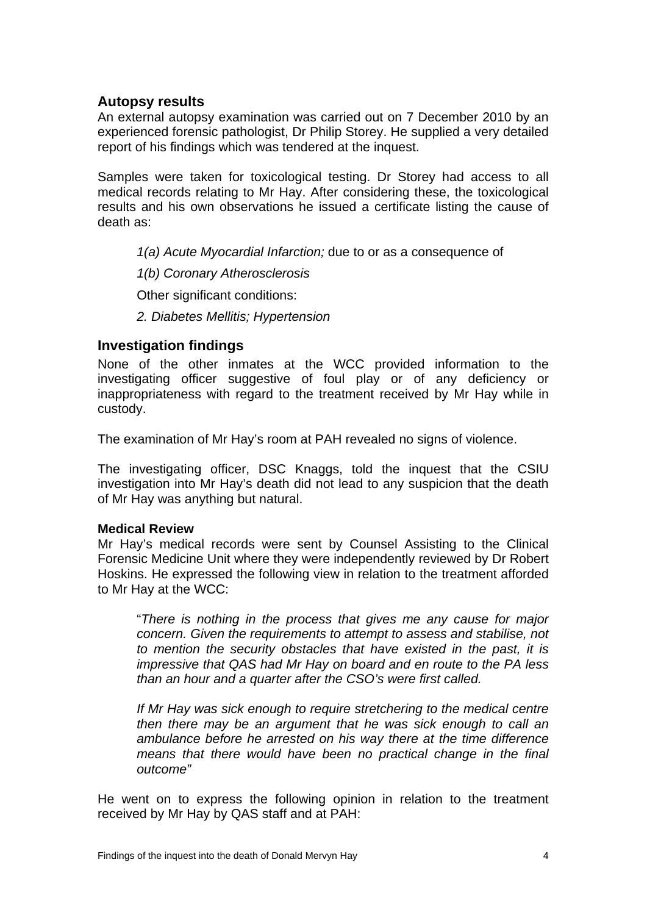#### <span id="page-5-0"></span>**Autopsy results**

An external autopsy examination was carried out on 7 December 2010 by an experienced forensic pathologist, Dr Philip Storey. He supplied a very detailed report of his findings which was tendered at the inquest.

Samples were taken for toxicological testing. Dr Storey had access to all medical records relating to Mr Hay. After considering these, the toxicological results and his own observations he issued a certificate listing the cause of death as:

- *1(a) Acute Myocardial Infarction;* due to or as a consequence of
- *1(b) Coronary Atherosclerosis*

Other significant conditions:

*2. Diabetes Mellitis; Hypertension* 

#### <span id="page-5-1"></span>**Investigation findings**

None of the other inmates at the WCC provided information to the investigating officer suggestive of foul play or of any deficiency or inappropriateness with regard to the treatment received by Mr Hay while in custody.

The examination of Mr Hay's room at PAH revealed no signs of violence.

The investigating officer, DSC Knaggs, told the inquest that the CSIU investigation into Mr Hay's death did not lead to any suspicion that the death of Mr Hay was anything but natural.

#### **Medical Review**

Mr Hay's medical records were sent by Counsel Assisting to the Clinical Forensic Medicine Unit where they were independently reviewed by Dr Robert Hoskins. He expressed the following view in relation to the treatment afforded to Mr Hay at the WCC:

"*There is nothing in the process that gives me any cause for major concern. Given the requirements to attempt to assess and stabilise, not to mention the security obstacles that have existed in the past, it is impressive that QAS had Mr Hay on board and en route to the PA less than an hour and a quarter after the CSO's were first called.* 

*If Mr Hay was sick enough to require stretchering to the medical centre then there may be an argument that he was sick enough to call an ambulance before he arrested on his way there at the time difference means that there would have been no practical change in the final outcome"* 

He went on to express the following opinion in relation to the treatment received by Mr Hay by QAS staff and at PAH: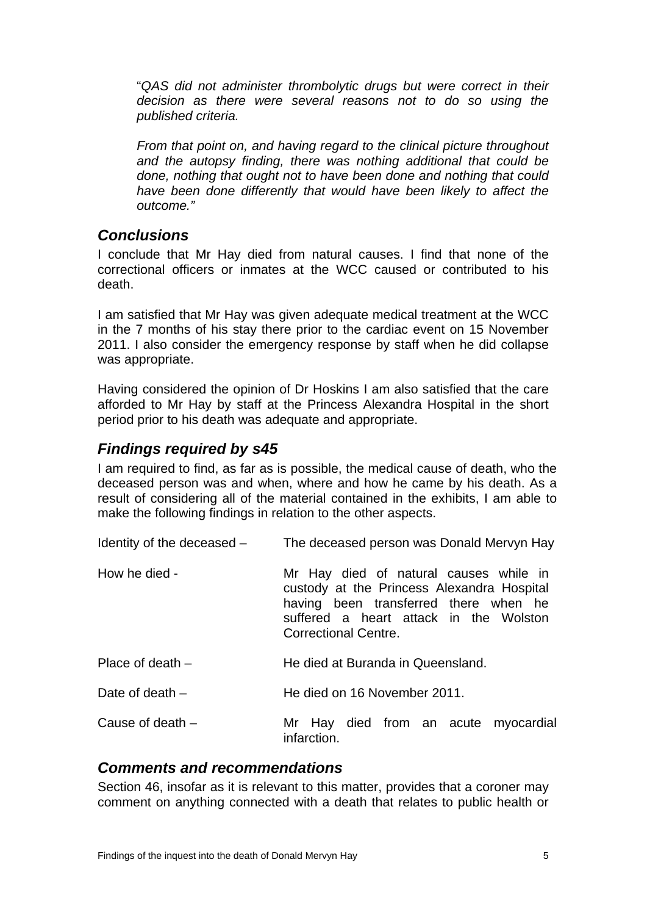"*QAS did not administer thrombolytic drugs but were correct in their decision as there were several reasons not to do so using the published criteria.* 

*From that point on, and having regard to the clinical picture throughout and the autopsy finding, there was nothing additional that could be done, nothing that ought not to have been done and nothing that could have been done differently that would have been likely to affect the outcome."* 

# <span id="page-6-0"></span>*Conclusions*

I conclude that Mr Hay died from natural causes. I find that none of the correctional officers or inmates at the WCC caused or contributed to his death.

I am satisfied that Mr Hay was given adequate medical treatment at the WCC in the 7 months of his stay there prior to the cardiac event on 15 November 2011. I also consider the emergency response by staff when he did collapse was appropriate.

Having considered the opinion of Dr Hoskins I am also satisfied that the care afforded to Mr Hay by staff at the Princess Alexandra Hospital in the short period prior to his death was adequate and appropriate.

# <span id="page-6-1"></span>*Findings required by s45*

I am required to find, as far as is possible, the medical cause of death, who the deceased person was and when, where and how he came by his death. As a result of considering all of the material contained in the exhibits, I am able to make the following findings in relation to the other aspects.

| Identity of the deceased - | The deceased person was Donald Mervyn Hay                                                                                                                                                       |
|----------------------------|-------------------------------------------------------------------------------------------------------------------------------------------------------------------------------------------------|
| How he died -              | Mr Hay died of natural causes while in<br>custody at the Princess Alexandra Hospital<br>having been transferred there when he<br>suffered a heart attack in the Wolston<br>Correctional Centre. |
| Place of death $-$         | He died at Buranda in Queensland.                                                                                                                                                               |
| Date of death $-$          | He died on 16 November 2011.                                                                                                                                                                    |
| Cause of death $-$         | Mr Hay died from an acute myocardial<br>infarction.                                                                                                                                             |

## <span id="page-6-2"></span>*Comments and recommendations*

Section 46, insofar as it is relevant to this matter, provides that a coroner may comment on anything connected with a death that relates to public health or